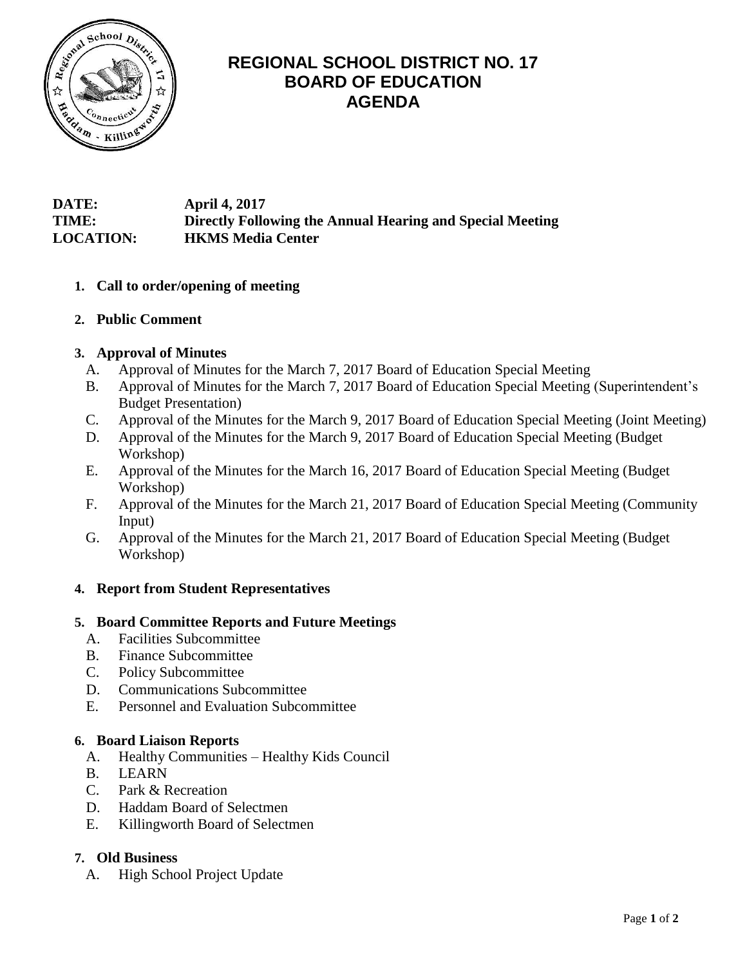

# **REGIONAL SCHOOL DISTRICT NO. 17 BOARD OF EDUCATION AGENDA**

# **DATE: April 4, 2017 TIME: Directly Following the Annual Hearing and Special Meeting LOCATION: HKMS Media Center**

- **1. Call to order/opening of meeting**
- **2. Public Comment**

# **3. Approval of Minutes**

- A. Approval of Minutes for the March 7, 2017 Board of Education Special Meeting
- B. Approval of Minutes for the March 7, 2017 Board of Education Special Meeting (Superintendent's Budget Presentation)
- C. Approval of the Minutes for the March 9, 2017 Board of Education Special Meeting (Joint Meeting)
- D. Approval of the Minutes for the March 9, 2017 Board of Education Special Meeting (Budget Workshop)
- E. Approval of the Minutes for the March 16, 2017 Board of Education Special Meeting (Budget Workshop)
- F. Approval of the Minutes for the March 21, 2017 Board of Education Special Meeting (Community Input)
- G. Approval of the Minutes for the March 21, 2017 Board of Education Special Meeting (Budget Workshop)

# **4. Report from Student Representatives**

# **5. Board Committee Reports and Future Meetings**

- A. Facilities Subcommittee
- B. Finance Subcommittee
- C. Policy Subcommittee
- D. Communications Subcommittee
- E. Personnel and Evaluation Subcommittee

# **6. Board Liaison Reports**

- A. Healthy Communities Healthy Kids Council
- B. LEARN
- C. Park & Recreation
- D. Haddam Board of Selectmen
- E. Killingworth Board of Selectmen

# **7. Old Business**

A. High School Project Update